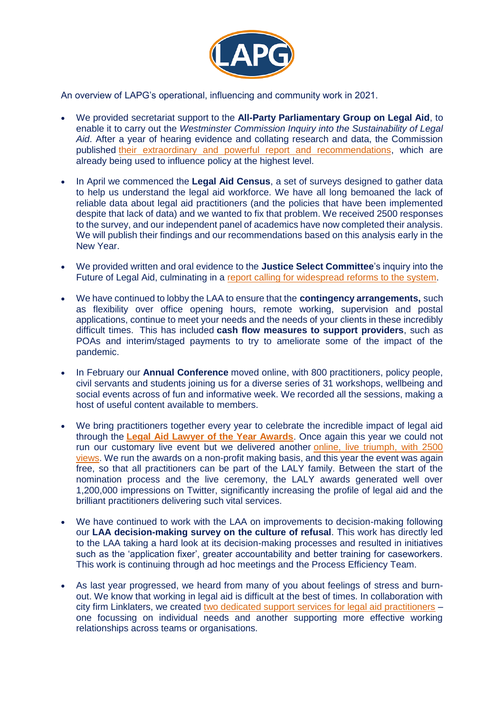

An overview of LAPG's operational, influencing and community work in 2021.

- We provided secretariat support to the **All-Party Parliamentary Group on Legal Aid**, to enable it to carry out the *Westminster Commission Inquiry into the Sustainability of Legal Aid*. After a year of hearing evidence and collating research and data, the Commission published [their extraordinary and powerful report and recommendations,](https://www.apg-legalaid.org/node/735) which are already being used to influence policy at the highest level.
- In April we commenced the **Legal Aid Census**, a set of surveys designed to gather data to help us understand the legal aid workforce. We have all long bemoaned the lack of reliable data about legal aid practitioners (and the policies that have been implemented despite that lack of data) and we wanted to fix that problem. We received 2500 responses to the survey, and our independent panel of academics have now completed their analysis. We will publish their findings and our recommendations based on this analysis early in the New Year.
- We provided written and oral evidence to the **Justice Select Committee**'s inquiry into the Future of Legal Aid, culminating in a [report calling for widespread reforms to the system.](https://committees.parliament.uk/work/531/the-future-of-legal-aid/)
- We have continued to lobby the LAA to ensure that the **contingency arrangements,** such as flexibility over office opening hours, remote working, supervision and postal applications, continue to meet your needs and the needs of your clients in these incredibly difficult times. This has included **cash flow measures to support providers**, such as POAs and interim/staged payments to try to ameliorate some of the impact of the pandemic.
- In February our **Annual Conference** moved online, with 800 practitioners, policy people, civil servants and students joining us for a diverse series of 31 workshops, wellbeing and social events across of fun and informative week. We recorded all the sessions, making a host of useful content available to members.
- We bring practitioners together every year to celebrate the incredible impact of legal aid through the **[Legal Aid Lawyer of the Year Awards](https://lapg.co.uk/lalys/)**. Once again this year we could not run our customary live event but we delivered another [online, live triumph, with 2500](https://youtu.be/Pbu3oss_iL8)  [views.](https://youtu.be/Pbu3oss_iL8) We run the awards on a non-profit making basis, and this year the event was again free, so that all practitioners can be part of the LALY family. Between the start of the nomination process and the live ceremony, the LALY awards generated well over 1,200,000 impressions on Twitter, significantly increasing the profile of legal aid and the brilliant practitioners delivering such vital services.
- We have continued to work with the LAA on improvements to decision-making following our **LAA decision-making survey on the culture of refusal**. This work has directly led to the LAA taking a hard look at its decision-making processes and resulted in initiatives such as the 'application fixer', greater accountability and better training for caseworkers. This work is continuing through ad hoc meetings and the Process Efficiency Team.
- As last year progressed, we heard from many of you about feelings of stress and burnout. We know that working in legal aid is difficult at the best of times. In collaboration with city firm Linklaters, we created [two dedicated support services for legal aid practitioners](https://lapg.co.uk/resources/) – one focussing on individual needs and another supporting more effective working relationships across teams or organisations.